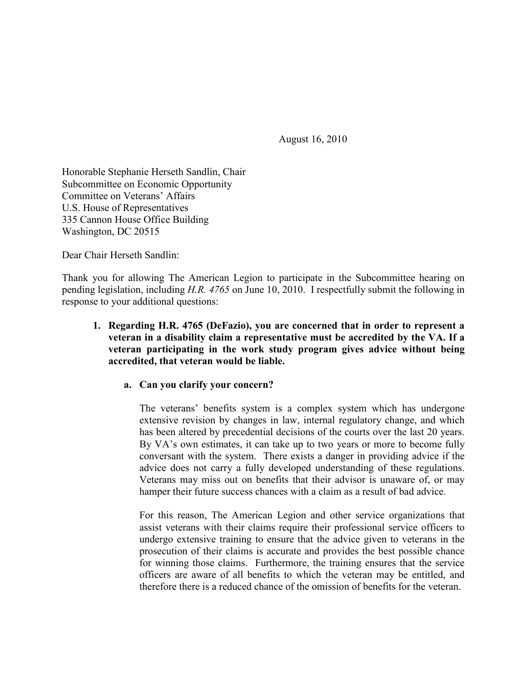August 16, 2010

Honorable Stephanie Herseth Sandlin, Chair Subcommittee on Economic Opportunity Committee on Veterans' Affairs U.S. House of Representatives 335 Cannon House Office Building Washington, DC 20515

Dear Chair Herseth Sandlin:

Thank you for allowing The American Legion to participate in the Subcommittee hearing on pending legislation, including *H.R. 4765* on June 10, 2010. I respectfully submit the following in response to your additional questions:

## **1. Regarding H.R. 4765 (DeFazio), you are concerned that in order to represent a veteran in a disability claim a representative must be accredited by the VA. If a veteran participating in the work study program gives advice without being accredited, that veteran would be liable.**

## **a. Can you clarify your concern?**

The veterans' benefits system is a complex system which has undergone extensive revision by changes in law, internal regulatory change, and which has been altered by precedential decisions of the courts over the last 20 years. By VA's own estimates, it can take up to two years or more to become fully conversant with the system. There exists a danger in providing advice if the advice does not carry a fully developed understanding of these regulations. Veterans may miss out on benefits that their advisor is unaware of, or may hamper their future success chances with a claim as a result of bad advice.

For this reason, The American Legion and other service organizations that assist veterans with their claims require their professional service officers to undergo extensive training to ensure that the advice given to veterans in the prosecution of their claims is accurate and provides the best possible chance for winning those claims. Furthermore, the training ensures that the service officers are aware of all benefits to which the veteran may be entitled, and therefore there is a reduced chance of the omission of benefits for the veteran.